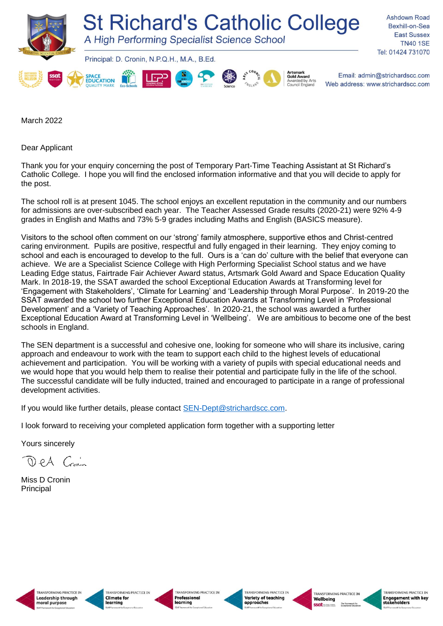

March 2022

Dear Applicant

Thank you for your enquiry concerning the post of Temporary Part-Time Teaching Assistant at St Richard's Catholic College. I hope you will find the enclosed information informative and that you will decide to apply for the post.

The school roll is at present 1045. The school enjoys an excellent reputation in the community and our numbers for admissions are over-subscribed each year. The Teacher Assessed Grade results (2020-21) were 92% 4-9 grades in English and Maths and 73% 5-9 grades including Maths and English (BASICS measure).

Visitors to the school often comment on our 'strong' family atmosphere, supportive ethos and Christ-centred caring environment. Pupils are positive, respectful and fully engaged in their learning. They enjoy coming to school and each is encouraged to develop to the full. Ours is a 'can do' culture with the belief that everyone can achieve. We are a Specialist Science College with High Performing Specialist School status and we have Leading Edge status, Fairtrade Fair Achiever Award status, Artsmark Gold Award and Space Education Quality Mark. In 2018-19, the SSAT awarded the school Exceptional Education Awards at Transforming level for 'Engagement with Stakeholders', 'Climate for Learning' and 'Leadership through Moral Purpose'. In 2019-20 the SSAT awarded the school two further Exceptional Education Awards at Transforming Level in 'Professional Development' and a 'Variety of Teaching Approaches'. In 2020-21, the school was awarded a further Exceptional Education Award at Transforming Level in 'Wellbeing'. We are ambitious to become one of the best schools in England.

The SEN department is a successful and cohesive one, looking for someone who will share its inclusive, caring approach and endeavour to work with the team to support each child to the highest levels of educational achievement and participation. You will be working with a variety of pupils with special educational needs and we would hope that you would help them to realise their potential and participate fully in the life of the school. The successful candidate will be fully inducted, trained and encouraged to participate in a range of professional development activities.

If you would like further details, please contact [SEN-Dept@strichardscc.com.](mailto:SEN-Dept@strichardscc.com)

I look forward to receiving your completed application form together with a supporting letter

Yours sincerely

 $DA$   $C_{conv}$ 

Miss D Cronin Principal





**TRANSFORMING PRACTICE IN** Professional arning



**Variety of teaching<br>approaches** 



TRANSFORMING PRACTICE IN The